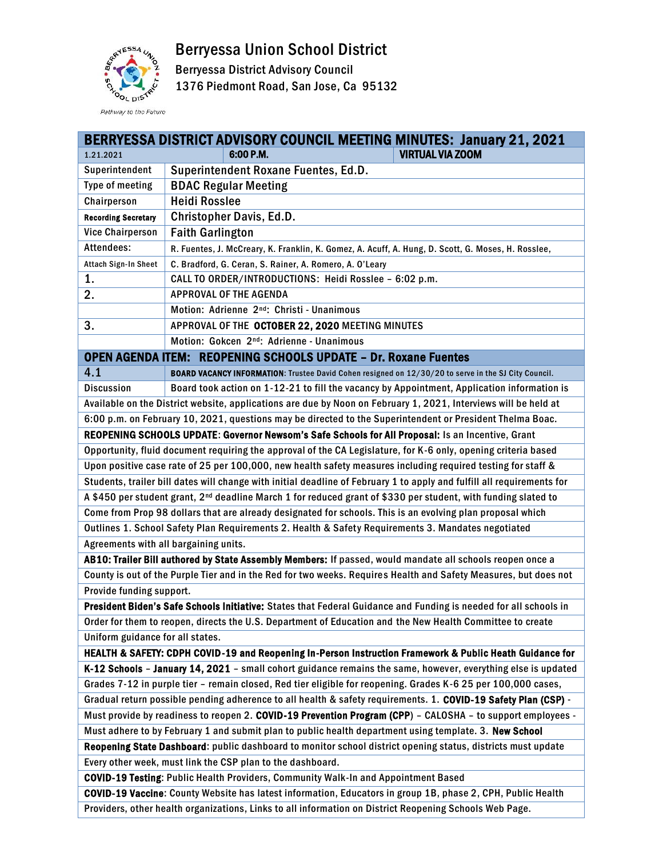Berryessa Union School District



Berryessa District Advisory Council

1376 Piedmont Road, San Jose, Ca 95132

|                                                                                                                            | <b>BERRYESSA DISTRICT ADVISORY COUNCIL MEETING MINUTES: January 21, 2021</b>                                    |  |  |  |
|----------------------------------------------------------------------------------------------------------------------------|-----------------------------------------------------------------------------------------------------------------|--|--|--|
| 1.21.2021                                                                                                                  | <b>VIRTUAL VIA ZOOM</b><br>6:00 P.M.                                                                            |  |  |  |
| Superintendent                                                                                                             | Superintendent Roxane Fuentes, Ed.D.                                                                            |  |  |  |
| Type of meeting                                                                                                            | <b>BDAC Regular Meeting</b>                                                                                     |  |  |  |
| Chairperson                                                                                                                | <b>Heidi Rosslee</b>                                                                                            |  |  |  |
| <b>Recording Secretary</b>                                                                                                 | <b>Christopher Davis, Ed.D.</b>                                                                                 |  |  |  |
| <b>Vice Chairperson</b>                                                                                                    | <b>Faith Garlington</b>                                                                                         |  |  |  |
| Attendees:                                                                                                                 | R. Fuentes, J. McCreary, K. Franklin, K. Gomez, A. Acuff, A. Hung, D. Scott, G. Moses, H. Rosslee,              |  |  |  |
| Attach Sign-In Sheet                                                                                                       | C. Bradford, G. Ceran, S. Rainer, A. Romero, A. O'Leary                                                         |  |  |  |
| 1.                                                                                                                         | CALL TO ORDER/INTRODUCTIONS: Heidi Rosslee - 6:02 p.m.                                                          |  |  |  |
| 2.                                                                                                                         | <b>APPROVAL OF THE AGENDA</b>                                                                                   |  |  |  |
|                                                                                                                            | Motion: Adrienne 2 <sup>nd</sup> : Christi - Unanimous                                                          |  |  |  |
| 3.                                                                                                                         | APPROVAL OF THE OCTOBER 22, 2020 MEETING MINUTES                                                                |  |  |  |
|                                                                                                                            | Motion: Gokcen 2 <sup>nd</sup> : Adrienne - Unanimous                                                           |  |  |  |
| <b>OPEN AGENDA ITEM: REOPENING SCHOOLS UPDATE - Dr. Roxane Fuentes</b>                                                     |                                                                                                                 |  |  |  |
| 4.1                                                                                                                        | BOARD VACANCY INFORMATION: Trustee David Cohen resigned on 12/30/20 to serve in the SJ City Council.            |  |  |  |
| <b>Discussion</b>                                                                                                          | Board took action on 1-12-21 to fill the vacancy by Appointment, Application information is                     |  |  |  |
|                                                                                                                            | Available on the District website, applications are due by Noon on February 1, 2021, Interviews will be held at |  |  |  |
|                                                                                                                            | 6:00 p.m. on February 10, 2021, questions may be directed to the Superintendent or President Thelma Boac.       |  |  |  |
|                                                                                                                            | REOPENING SCHOOLS UPDATE: Governor Newsom's Safe Schools for All Proposal: Is an Incentive, Grant               |  |  |  |
| Opportunity, fluid document requiring the approval of the CA Legislature, for K-6 only, opening criteria based             |                                                                                                                 |  |  |  |
| Upon positive case rate of 25 per 100,000, new health safety measures including required testing for staff &               |                                                                                                                 |  |  |  |
| Students, trailer bill dates will change with initial deadline of February 1 to apply and fulfill all requirements for     |                                                                                                                 |  |  |  |
| A \$450 per student grant, 2 <sup>nd</sup> deadline March 1 for reduced grant of \$330 per student, with funding slated to |                                                                                                                 |  |  |  |
| Come from Prop 98 dollars that are already designated for schools. This is an evolving plan proposal which                 |                                                                                                                 |  |  |  |
| Outlines 1. School Safety Plan Requirements 2. Health & Safety Requirements 3. Mandates negotiated                         |                                                                                                                 |  |  |  |
| Agreements with all bargaining units.                                                                                      |                                                                                                                 |  |  |  |
| AB10: Trailer Bill authored by State Assembly Members: If passed, would mandate all schools reopen once a                  |                                                                                                                 |  |  |  |
| County is out of the Purple Tier and in the Red for two weeks. Requires Health and Safety Measures, but does not           |                                                                                                                 |  |  |  |
| Provide funding support.                                                                                                   |                                                                                                                 |  |  |  |
| President Biden's Safe Schools Initiative: States that Federal Guidance and Funding is needed for all schools in           |                                                                                                                 |  |  |  |
| Order for them to reopen, directs the U.S. Department of Education and the New Health Committee to create                  |                                                                                                                 |  |  |  |
| Uniform guidance for all states.                                                                                           |                                                                                                                 |  |  |  |
| HEALTH & SAFETY: CDPH COVID-19 and Reopening In-Person Instruction Framework & Public Heath Guidance for                   |                                                                                                                 |  |  |  |
| K-12 Schools - January 14, 2021 - small cohort guidance remains the same, however, everything else is updated              |                                                                                                                 |  |  |  |
| Grades 7-12 in purple tier - remain closed, Red tier eligible for reopening. Grades K-6 25 per 100,000 cases,              |                                                                                                                 |  |  |  |
| Gradual return possible pending adherence to all health & safety requirements. 1. COVID-19 Safety Plan (CSP) -             |                                                                                                                 |  |  |  |
| Must provide by readiness to reopen 2. COVID-19 Prevention Program (CPP) - CALOSHA - to support employees -                |                                                                                                                 |  |  |  |
| Must adhere to by February 1 and submit plan to public health department using template. 3. New School                     |                                                                                                                 |  |  |  |
| Reopening State Dashboard: public dashboard to monitor school district opening status, districts must update               |                                                                                                                 |  |  |  |
| Every other week, must link the CSP plan to the dashboard.                                                                 |                                                                                                                 |  |  |  |
| COVID-19 Testing: Public Health Providers, Community Walk-In and Appointment Based                                         |                                                                                                                 |  |  |  |
| COVID-19 Vaccine: County Website has latest information, Educators in group 1B, phase 2, CPH, Public Health                |                                                                                                                 |  |  |  |
| Providers, other health organizations, Links to all information on District Reopening Schools Web Page.                    |                                                                                                                 |  |  |  |